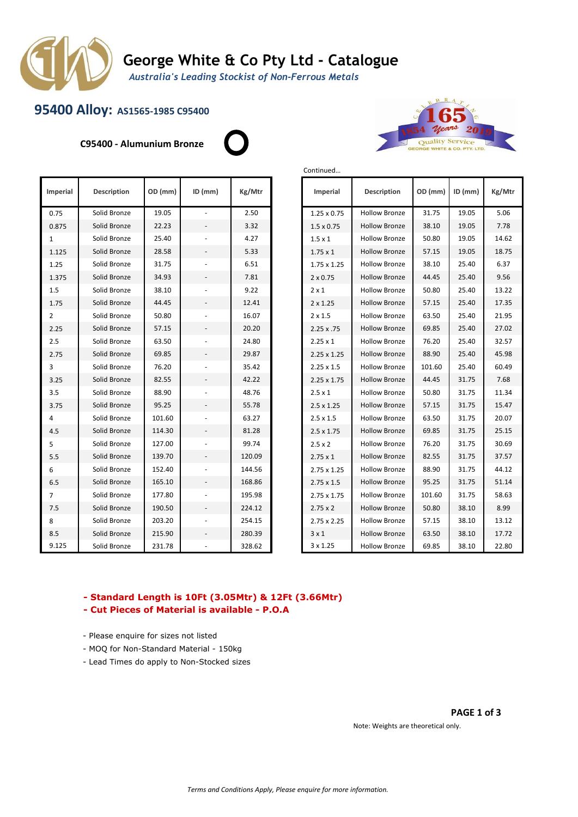

# **George White & Co Pty Ltd - Catalogue**

Continued…

*Australia's Leading Stockist of Non-Ferrous Metals*

## **95400 Alloy: AS1565-1985 C95400**

**C95400 - Alumunium Bronze**





| Imperial       | <b>Description</b> | OD (mm) | $ID$ (mm)                | Kg/Mtr | Imperial           | <b>Description</b>   | OD (mm) | $ID$ (mm) | Kg/Mt |
|----------------|--------------------|---------|--------------------------|--------|--------------------|----------------------|---------|-----------|-------|
| 0.75           | Solid Bronze       | 19.05   |                          | 2.50   | $1.25 \times 0.75$ | <b>Hollow Bronze</b> | 31.75   | 19.05     | 5.06  |
| 0.875          | Solid Bronze       | 22.23   |                          | 3.32   | $1.5 \times 0.75$  | <b>Hollow Bronze</b> | 38.10   | 19.05     | 7.78  |
| 1              | Solid Bronze       | 25.40   |                          | 4.27   | $1.5 \times 1$     | <b>Hollow Bronze</b> | 50.80   | 19.05     | 14.62 |
| 1.125          | Solid Bronze       | 28.58   | $\overline{\phantom{a}}$ | 5.33   | $1.75 \times 1$    | <b>Hollow Bronze</b> | 57.15   | 19.05     | 18.75 |
| 1.25           | Solid Bronze       | 31.75   |                          | 6.51   | 1.75 x 1.25        | <b>Hollow Bronze</b> | 38.10   | 25.40     | 6.37  |
| 1.375          | Solid Bronze       | 34.93   | $\overline{\phantom{a}}$ | 7.81   | $2 \times 0.75$    | <b>Hollow Bronze</b> | 44.45   | 25.40     | 9.56  |
| 1.5            | Solid Bronze       | 38.10   |                          | 9.22   | $2 \times 1$       | <b>Hollow Bronze</b> | 50.80   | 25.40     | 13.22 |
| 1.75           | Solid Bronze       | 44.45   | $\overline{\phantom{a}}$ | 12.41  | $2 \times 1.25$    | <b>Hollow Bronze</b> | 57.15   | 25.40     | 17.35 |
| 2              | Solid Bronze       | 50.80   |                          | 16.07  | $2 \times 1.5$     | <b>Hollow Bronze</b> | 63.50   | 25.40     | 21.95 |
| 2.25           | Solid Bronze       | 57.15   | $\blacksquare$           | 20.20  | 2.25x.75           | <b>Hollow Bronze</b> | 69.85   | 25.40     | 27.02 |
| 2.5            | Solid Bronze       | 63.50   |                          | 24.80  | $2.25 \times 1$    | <b>Hollow Bronze</b> | 76.20   | 25.40     | 32.57 |
| 2.75           | Solid Bronze       | 69.85   |                          | 29.87  | $2.25 \times 1.25$ | <b>Hollow Bronze</b> | 88.90   | 25.40     | 45.98 |
| 3              | Solid Bronze       | 76.20   |                          | 35.42  | $2.25 \times 1.5$  | <b>Hollow Bronze</b> | 101.60  | 25.40     | 60.49 |
| 3.25           | Solid Bronze       | 82.55   |                          | 42.22  | $2.25 \times 1.75$ | <b>Hollow Bronze</b> | 44.45   | 31.75     | 7.68  |
| 3.5            | Solid Bronze       | 88.90   |                          | 48.76  | $2.5 \times 1$     | <b>Hollow Bronze</b> | 50.80   | 31.75     | 11.34 |
| 3.75           | Solid Bronze       | 95.25   |                          | 55.78  | $2.5 \times 1.25$  | <b>Hollow Bronze</b> | 57.15   | 31.75     | 15.47 |
| 4              | Solid Bronze       | 101.60  |                          | 63.27  | $2.5 \times 1.5$   | <b>Hollow Bronze</b> | 63.50   | 31.75     | 20.07 |
| 4.5            | Solid Bronze       | 114.30  | $\overline{\phantom{a}}$ | 81.28  | $2.5 \times 1.75$  | <b>Hollow Bronze</b> | 69.85   | 31.75     | 25.15 |
| 5              | Solid Bronze       | 127.00  |                          | 99.74  | $2.5 \times 2$     | <b>Hollow Bronze</b> | 76.20   | 31.75     | 30.69 |
| 5.5            | Solid Bronze       | 139.70  |                          | 120.09 | $2.75 \times 1$    | <b>Hollow Bronze</b> | 82.55   | 31.75     | 37.57 |
| 6              | Solid Bronze       | 152.40  |                          | 144.56 | 2.75 x 1.25        | <b>Hollow Bronze</b> | 88.90   | 31.75     | 44.12 |
| 6.5            | Solid Bronze       | 165.10  | $\overline{\phantom{a}}$ | 168.86 | $2.75 \times 1.5$  | <b>Hollow Bronze</b> | 95.25   | 31.75     | 51.14 |
| $\overline{7}$ | Solid Bronze       | 177.80  |                          | 195.98 | 2.75 x 1.75        | <b>Hollow Bronze</b> | 101.60  | 31.75     | 58.63 |
| 7.5            | Solid Bronze       | 190.50  | $\overline{\phantom{a}}$ | 224.12 | $2.75 \times 2$    | <b>Hollow Bronze</b> | 50.80   | 38.10     | 8.99  |
| 8              | Solid Bronze       | 203.20  |                          | 254.15 | $2.75 \times 2.25$ | <b>Hollow Bronze</b> | 57.15   | 38.10     | 13.12 |
| 8.5            | Solid Bronze       | 215.90  | $\overline{\phantom{a}}$ | 280.39 | $3 \times 1$       | <b>Hollow Bronze</b> | 63.50   | 38.10     | 17.72 |
| 9.125          | Solid Bronze       | 231.78  |                          | 328.62 | 3 x 1.25           | <b>Hollow Bronze</b> | 69.85   | 38.10     | 22.80 |

| <b>Description</b> | OD (mm) | $ID$ (mm)                | Kg/Mtr | Imperial           | Description          | OD (mm) | $ID$ (mm) | Kg/Mtr |
|--------------------|---------|--------------------------|--------|--------------------|----------------------|---------|-----------|--------|
| Solid Bronze       | 19.05   |                          | 2.50   | $1.25 \times 0.75$ | <b>Hollow Bronze</b> | 31.75   | 19.05     | 5.06   |
| Solid Bronze       | 22.23   |                          | 3.32   | $1.5 \times 0.75$  | <b>Hollow Bronze</b> | 38.10   | 19.05     | 7.78   |
| Solid Bronze       | 25.40   |                          | 4.27   | $1.5 \times 1$     | <b>Hollow Bronze</b> | 50.80   | 19.05     | 14.62  |
| Solid Bronze       | 28.58   |                          | 5.33   | $1.75 \times 1$    | <b>Hollow Bronze</b> | 57.15   | 19.05     | 18.75  |
| Solid Bronze       | 31.75   |                          | 6.51   | $1.75 \times 1.25$ | <b>Hollow Bronze</b> | 38.10   | 25.40     | 6.37   |
| Solid Bronze       | 34.93   |                          | 7.81   | $2 \times 0.75$    | <b>Hollow Bronze</b> | 44.45   | 25.40     | 9.56   |
| Solid Bronze       | 38.10   |                          | 9.22   | $2 \times 1$       | <b>Hollow Bronze</b> | 50.80   | 25.40     | 13.22  |
| Solid Bronze       | 44.45   |                          | 12.41  | $2 \times 1.25$    | <b>Hollow Bronze</b> | 57.15   | 25.40     | 17.35  |
| Solid Bronze       | 50.80   |                          | 16.07  | $2 \times 1.5$     | <b>Hollow Bronze</b> | 63.50   | 25.40     | 21.95  |
| Solid Bronze       | 57.15   | $\overline{\phantom{a}}$ | 20.20  | 2.25 x .75         | <b>Hollow Bronze</b> | 69.85   | 25.40     | 27.02  |
| Solid Bronze       | 63.50   |                          | 24.80  | $2.25 \times 1$    | <b>Hollow Bronze</b> | 76.20   | 25.40     | 32.57  |
| Solid Bronze       | 69.85   | $\overline{\phantom{a}}$ | 29.87  | $2.25 \times 1.25$ | <b>Hollow Bronze</b> | 88.90   | 25.40     | 45.98  |
| Solid Bronze       | 76.20   |                          | 35.42  | $2.25 \times 1.5$  | <b>Hollow Bronze</b> | 101.60  | 25.40     | 60.49  |
| Solid Bronze       | 82.55   |                          | 42.22  | $2.25 \times 1.75$ | <b>Hollow Bronze</b> | 44.45   | 31.75     | 7.68   |
| Solid Bronze       | 88.90   |                          | 48.76  | $2.5 \times 1$     | <b>Hollow Bronze</b> | 50.80   | 31.75     | 11.34  |
| Solid Bronze       | 95.25   | $\overline{\phantom{a}}$ | 55.78  | $2.5 \times 1.25$  | <b>Hollow Bronze</b> | 57.15   | 31.75     | 15.47  |
| Solid Bronze       | 101.60  |                          | 63.27  | $2.5 \times 1.5$   | <b>Hollow Bronze</b> | 63.50   | 31.75     | 20.07  |
| Solid Bronze       | 114.30  |                          | 81.28  | $2.5 \times 1.75$  | <b>Hollow Bronze</b> | 69.85   | 31.75     | 25.15  |
| Solid Bronze       | 127.00  |                          | 99.74  | $2.5 \times 2$     | <b>Hollow Bronze</b> | 76.20   | 31.75     | 30.69  |
| Solid Bronze       | 139.70  |                          | 120.09 | $2.75 \times 1$    | <b>Hollow Bronze</b> | 82.55   | 31.75     | 37.57  |
| Solid Bronze       | 152.40  |                          | 144.56 | 2.75 x 1.25        | <b>Hollow Bronze</b> | 88.90   | 31.75     | 44.12  |
| Solid Bronze       | 165.10  |                          | 168.86 | $2.75 \times 1.5$  | <b>Hollow Bronze</b> | 95.25   | 31.75     | 51.14  |
| Solid Bronze       | 177.80  |                          | 195.98 | $2.75 \times 1.75$ | <b>Hollow Bronze</b> | 101.60  | 31.75     | 58.63  |
| Solid Bronze       | 190.50  | $\overline{\phantom{a}}$ | 224.12 | $2.75 \times 2$    | <b>Hollow Bronze</b> | 50.80   | 38.10     | 8.99   |
| Solid Bronze       | 203.20  |                          | 254.15 | 2.75 x 2.25        | <b>Hollow Bronze</b> | 57.15   | 38.10     | 13.12  |
| Solid Bronze       | 215.90  | $\overline{\phantom{a}}$ | 280.39 | $3 \times 1$       | <b>Hollow Bronze</b> | 63.50   | 38.10     | 17.72  |
| Solid Bronze       | 231.78  |                          | 328.62 | 3 x 1.25           | <b>Hollow Bronze</b> | 69.85   | 38.10     | 22.80  |

### **- Standard Length is 10Ft (3.05Mtr) & 12Ft (3.66Mtr)**

- **Cut Pieces of Material is available P.O.A**
- Please enquire for sizes not listed
- MOQ for Non-Standard Material 150kg
- Lead Times do apply to Non-Stocked sizes

#### **PAGE 1 of 3**

Note: Weights are theoretical only.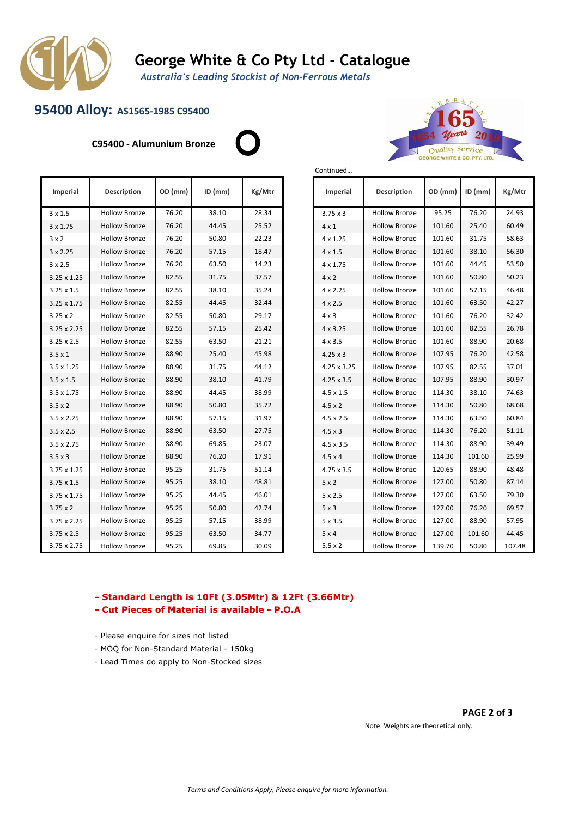

## **George White & Co Pty Ltd - Catalogue**

Continued…

*Australia's Leading Stockist of Non-Ferrous Metals*

## **95400 Alloy: AS1565-1985 C95400**

**C95400 - Alumunium Bronze**





| Imperial           | <b>Description</b>   | OD (mm) | $ID$ (mm) | Kg/Mtr |
|--------------------|----------------------|---------|-----------|--------|
| $3 \times 1.5$     | <b>Hollow Bronze</b> | 76.20   | 38.10     | 28.34  |
| 3 x 1.75           | <b>Hollow Bronze</b> | 76.20   | 44.45     | 25.52  |
| $3 \times 2$       | <b>Hollow Bronze</b> | 76.20   | 50.80     | 22.23  |
| $3 \times 2.25$    | <b>Hollow Bronze</b> | 76.20   | 57.15     | 18.47  |
| $3 \times 2.5$     | <b>Hollow Bronze</b> | 76.20   | 63.50     | 14.23  |
| $3.25 \times 1.25$ | <b>Hollow Bronze</b> | 82.55   | 31.75     | 37.57  |
| $3.25 \times 1.5$  | <b>Hollow Bronze</b> | 82.55   | 38.10     | 35.24  |
| 3.25 x 1.75        | <b>Hollow Bronze</b> | 82.55   | 44.45     | 32.44  |
| $3.25 \times 2$    | <b>Hollow Bronze</b> | 82.55   | 50.80     | 29.17  |
| 3.25 x 2.25        | <b>Hollow Bronze</b> | 82.55   | 57.15     | 25.42  |
| $3.25 \times 2.5$  | <b>Hollow Bronze</b> | 82.55   | 63.50     | 21.21  |
| $3.5 \times 1$     | <b>Hollow Bronze</b> | 88.90   | 25.40     | 45.98  |
| $3.5 \times 1.25$  | <b>Hollow Bronze</b> | 88.90   | 31.75     | 44.12  |
| $3.5 \times 1.5$   | <b>Hollow Bronze</b> | 88.90   | 38.10     | 41.79  |
| 3.5 x 1.75         | <b>Hollow Bronze</b> | 88.90   | 44.45     | 38.99  |
| $3.5 \times 2$     | <b>Hollow Bronze</b> | 88.90   | 50.80     | 35.72  |
| $3.5 \times 2.25$  | <b>Hollow Bronze</b> | 88.90   | 57.15     | 31.97  |
| $3.5 \times 2.5$   | <b>Hollow Bronze</b> | 88.90   | 63.50     | 27.75  |
| $3.5 \times 2.75$  | <b>Hollow Bronze</b> | 88.90   | 69.85     | 23.07  |
| $3.5 \times 3$     | <b>Hollow Bronze</b> | 88.90   | 76.20     | 17.91  |
| 3.75 x 1.25        | <b>Hollow Bronze</b> | 95.25   | 31.75     | 51.14  |
| $3.75 \times 1.5$  | <b>Hollow Bronze</b> | 95.25   | 38.10     | 48.81  |
| 3.75 x 1.75        | <b>Hollow Bronze</b> | 95.25   | 44.45     | 46.01  |
| $3.75 \times 2$    | <b>Hollow Bronze</b> | 95.25   | 50.80     | 42.74  |
| 3.75 x 2.25        | <b>Hollow Bronze</b> | 95.25   | 57.15     | 38.99  |
| $3.75 \times 2.5$  | <b>Hollow Bronze</b> | 95.25   | 63.50     | 34.77  |
| 3.75 x 2.75        | <b>Hollow Bronze</b> | 95.25   | 69.85     | 30.09  |

| <b>Imperial</b>   | <b>Description</b>   | OD (mm) | $ID$ (mm) | Kg/Mtr |  |
|-------------------|----------------------|---------|-----------|--------|--|
| $3.75 \times 3$   | <b>Hollow Bronze</b> | 95.25   | 76.20     | 24.93  |  |
| $4 \times 1$      | <b>Hollow Bronze</b> | 101.60  | 25.40     | 60.49  |  |
| $4 \times 1.25$   | <b>Hollow Bronze</b> | 101.60  | 31.75     | 58.63  |  |
| $4 \times 1.5$    | <b>Hollow Bronze</b> | 101.60  | 38.10     | 56.30  |  |
| $4 \times 1.75$   | <b>Hollow Bronze</b> | 101.60  | 44.45     | 53.50  |  |
| $4 \times 2$      | <b>Hollow Bronze</b> | 101.60  | 50.80     | 50.23  |  |
| $4 \times 2.25$   | Hollow Bronze        | 101.60  | 57.15     | 46.48  |  |
| $4 \times 2.5$    | <b>Hollow Bronze</b> | 101.60  | 63.50     | 42.27  |  |
| $4 \times 3$      | <b>Hollow Bronze</b> | 101.60  | 76.20     | 32.42  |  |
| $4 \times 3.25$   | <b>Hollow Bronze</b> | 101.60  | 82.55     | 26.78  |  |
| $4 \times 3.5$    | <b>Hollow Bronze</b> | 101.60  | 88.90     | 20.68  |  |
| $4.25 \times 3$   | <b>Hollow Bronze</b> | 107.95  | 76.20     | 42.58  |  |
| 4.25 x 3.25       | <b>Hollow Bronze</b> | 107.95  | 82.55     | 37.01  |  |
| $4.25 \times 3.5$ | <b>Hollow Bronze</b> | 107.95  | 88.90     | 30.97  |  |
| $4.5 \times 1.5$  | <b>Hollow Bronze</b> | 114.30  | 38.10     | 74.63  |  |
| $4.5 \times 2$    | <b>Hollow Bronze</b> | 114.30  | 50.80     | 68.68  |  |
| $4.5 \times 2.5$  | <b>Hollow Bronze</b> | 114.30  | 63.50     | 60.84  |  |
| $4.5 \times 3$    | <b>Hollow Bronze</b> | 114.30  | 76.20     | 51.11  |  |
| $4.5 \times 3.5$  | <b>Hollow Bronze</b> | 114.30  | 88.90     | 39.49  |  |
| $4.5 \times 4$    | <b>Hollow Bronze</b> | 114.30  | 101.60    | 25.99  |  |
| $4.75 \times 3.5$ | <b>Hollow Bronze</b> | 120.65  | 88.90     | 48.48  |  |
| $5 \times 2$      | <b>Hollow Bronze</b> | 127.00  | 50.80     | 87.14  |  |
| $5 \times 2.5$    | <b>Hollow Bronze</b> | 127.00  | 63.50     | 79.30  |  |
| $5 \times 3$      | <b>Hollow Bronze</b> | 127.00  | 76.20     | 69.57  |  |
| $5 \times 3.5$    | Hollow Bronze        | 127.00  | 88.90     | 57.95  |  |
| 5x4               | <b>Hollow Bronze</b> | 127.00  | 101.60    | 44.45  |  |
| $5.5 \times 2$    | <b>Hollow Bronze</b> | 139.70  | 50.80     | 107.48 |  |

### **- Standard Length is 10Ft (3.05Mtr) & 12Ft (3.66Mtr)**

- **Cut Pieces of Material is available P.O.A**
- Please enquire for sizes not listed
- MOQ for Non-Standard Material 150kg
- Lead Times do apply to Non-Stocked sizes

#### **PAGE 2 of 3**

Note: Weights are theoretical only.